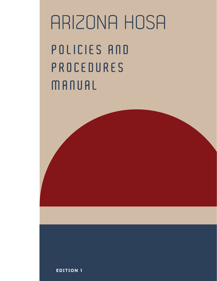$P$  **OLICIES AND P R O C E D U R E S MA N U A L** ARIZONA HOSA

**EDI T ION 1**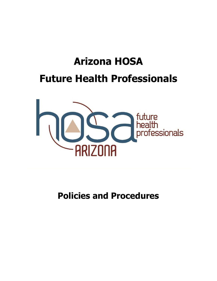# **Arizona HOSA Future Health Professionals**



**Policies and Procedures**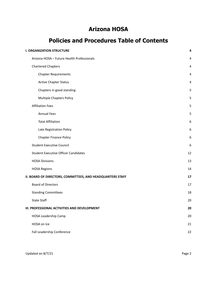# **Arizona HOSA**

# **Policies and Procedures Table of Contents**

| <b>I. ORGANIZATION STRUCTURE</b>                           |    |
|------------------------------------------------------------|----|
| Arizona HOSA - Future Health Professionals                 | 4  |
| <b>Chartered Chapters</b>                                  | 4  |
| <b>Chapter Requirements</b>                                | 4  |
| <b>Active Chapter Status</b>                               | 4  |
| Chapters in good standing                                  | 5  |
| <b>Multiple Chapters Policy</b>                            | 5  |
| <b>Affiliation Fees</b>                                    | 5  |
| <b>Annual Fees</b>                                         | 5  |
| <b>Total Affiliation</b>                                   | 6  |
| Late Registration Policy                                   | 6  |
| <b>Chapter Finance Policy</b>                              | 6  |
| <b>Student Executive Council</b>                           | 6  |
| <b>Student Executive Officer Candidates</b>                | 12 |
| <b>HOSA Divisions</b>                                      | 13 |
| <b>HOSA Regions</b>                                        | 14 |
| II. BOARD OF DIRECTORS, COMMITTEES, AND HEADQUARTERS STAFF | 17 |
| <b>Board of Directors</b>                                  | 17 |
| <b>Standing Committees</b>                                 | 18 |
| <b>State Staff</b>                                         | 20 |
| III. PROFESSIONAL ACTIVITIES AND DEVELOPMENT               | 20 |
| HOSA Leadership Camp                                       | 20 |
| HOSA on Ice                                                | 21 |
| Fall Leadership Conference                                 | 22 |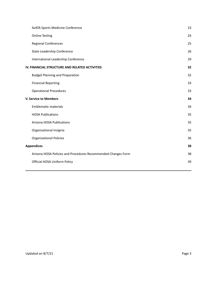| AzATA Sports Medicine Conference                              | 23 |
|---------------------------------------------------------------|----|
| <b>Online Testing</b>                                         | 24 |
| <b>Regional Conferences</b>                                   | 25 |
| State Leadership Conference                                   | 26 |
| International Leadership Conference                           | 29 |
| IV. FINANCIAL STRUCTURE AND RELATED ACTIVITIES                | 32 |
| <b>Budget Planning and Preparation</b>                        | 32 |
| <b>Financial Reporting</b>                                    | 33 |
| <b>Operational Procedures</b>                                 | 33 |
| <b>V. Service to Members</b>                                  | 34 |
| <b>Emblematic materials</b>                                   | 34 |
|                                                               |    |
| <b>HOSA Publications</b>                                      | 35 |
| Arizona HOSA Publications                                     | 35 |
| Organizational Insignia                                       | 35 |
| <b>Organizational Policies</b>                                | 36 |
| <b>Appendices</b>                                             | 38 |
| Arizona HOSA Policies and Procedures Recommended Changes Form | 38 |
| Official HOSA Uniform Policy                                  | 39 |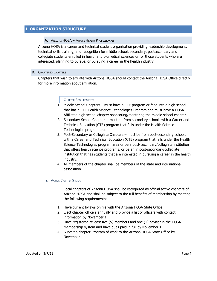# <span id="page-4-1"></span><span id="page-4-0"></span>**I. ORGANIZATION STRUCTURE**

#### A. ARIZONA HOSA – FUTURE HEALTH PROFESSIONALS

Arizona HOSA is a career and technical student organization providing leadership development, technical skills training, and recognition for middle school, secondary, postsecondary and collegiate students enrolled in health and biomedical sciences or for those students who are interested, planning to pursue, or pursuing a career in the health industry.

#### <span id="page-4-2"></span>B. CHARTERED CHAPTERS

<span id="page-4-3"></span>Chapters that wish to affiliate with Arizona HOSA should contact the Arizona HOSA Office directly for more information about affiliation.

#### <sup>I</sup>. CHAPTER REQUIREMENTS

- 1. Middle School Chapters must have a CTE program or feed into a high school that has a CTE Health Science Technologies Program and must have a HOSA Affiliated high school chapter sponsoring/mentoring the middle school chapter.
- 2. Secondary School Chapters must be from secondary schools with a Career and Technical Education (CTE) program that falls under the Health Science Technologies program area.
- 3. Post-Secondary or Collegiate Chapters must be from post-secondary schools with a Career and Technical Education (CTE) program that falls under the Health Science Technologies program area or be a post-secondary/collegiate institution that offers health science programs, or be an in post-secondary/collegiate institution that has students that are interested in pursuing a career in the health industry.
- 4. All members of the chapter shall be members of the state and international association.

#### <span id="page-4-4"></span>**ACTIVE CHAPTER STATUS**

Local chapters of Arizona HOSA shall be recognized as official active chapters of Arizona HOSA and shall be subject to the full benefits of membership by meeting the following requirements:

- 1. Have current bylaws on file with the Arizona HOSA State Office
- 2. Elect chapter officers annually and provide a list of officers with contact information by November 1
- 3. Have registered at least five (5) members and one (1) advisor in the HOSA membership system and have dues paid in full by November 1
- 4. Submit a chapter Program of work to the Arizona HOSA State Office by November 1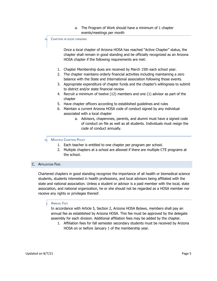a. The Program of Work should have a minimum of 1 chapter events/meetings per month

#### <span id="page-5-0"></span>III. CHAPTERS IN GOOD STANDING

Once a local chapter of Arizona HOSA has reached "Active Chapter" status, the chapter shall remain in good standing and be officially recognized as an Arizona HOSA chapter if the following requirements are met:

- 1. Chapter Membership dues are received by March 15th each school year.
- 2. The chapter maintains orderly financial activities including maintaining a zero balance with the State and International association following those events.
- 3. Appropriate expenditure of chapter funds and the chapter's willingness to submit to district and/or state financial review
- 4. Recruit a minimum of twelve (12) members and one (1) advisor as part of the chapter
- 5. Have chapter officers according to established guidelines and rules
- 6. Maintain a current Arizona HOSA code of conduct signed by any individual associated with a local chapter
	- a. Advisors, chaperones, parents, and alumni must have a signed code of conduct on file as well as all students. Individuals must resign the code of conduct annually.

#### <span id="page-5-1"></span>IV. MULTIPLE CHAPTERS POLICY

- 1. Each teacher is entitled to one chapter per program per school.
- 2. Multiple chapters at a school are allowed if there are multiple CTE programs at the school.

# <span id="page-5-2"></span>C. AFFILIATION FEES

Chartered chapters in good standing recognize the importance of all health or biomedical science students, students interested in health professions, and local advisors being affiliated with the state and national association. Unless a student or advisor is a paid member with the local, state association, and national organization, he or she should not be regarded as a HOSA member nor receive any rights or privileges thereof.

#### <span id="page-5-3"></span>**ANNUAL FEES**

In accordance with Article 5, Section 2, Arizona HOSA Bylaws, members shall pay an annual fee as established by Arizona HOSA. This fee must be approved by the delegate assembly for each division. Additional affiliation fees may be added by the chapter.

1. Affiliation fees for fall semester secondary students must be received by Arizona HOSA on or before January 1 of the membership year.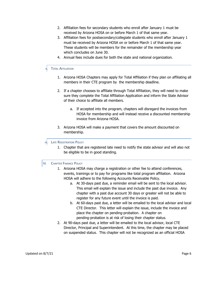- 2. Affiliation fees for secondary students who enroll after January 1 must be received by Arizona HOSA on or before March 1 of that same year.
- 3. Affiliation fees for postsecondary/collegiate students who enroll after January 1 must be received by Arizona HOSA on or before March 1 of that same year. These students will be members for the remainder of the membership year which concludes on June 30.
- 4. Annual fees include dues for both the state and national organization.

#### <span id="page-6-0"></span>**TOTAL AFFILIATION**

- 1. Arizona HOSA Chapters may apply for Total Affiliation if they plan on affiliating all members in their CTE program by the membership deadline.
- 2. If a chapter chooses to affiliate through Total Affiliation, they will need to make sure they complete the Total Affiliation Application and inform the State Advisor of their choice to affiliate all members.
	- a. If accepted into the program, chapters will disregard the invoices from HOSA for membership and will instead receive a discounted membership invoice from Arizona HOSA.
- 3. Arizona HOSA will make a payment that covers the amount discounted on membership.

#### III. LATE REGISTRATION POLICY

1. Chapter that are registered late need to notify the state advisor and will also not be eligible to be in good standing.

#### <span id="page-6-1"></span>IV. CHAPTER FINANCE POLICY

- 1. Arizona HOSA may charge a registration or other fee to attend conferences, events, trainings or to pay for programs like total program affiliation. Arizona HOSA will adhere to the following Accounts Receivable Policy.
	- a. At 30-days past due, a reminder email will be sent to the local advisor. This email will explain the issue and include the past due invoice. Any chapter with a past due account 30 days or greater will not be able to register for any future event until the invoice is paid.
	- b. At 60-days past due, a letter will be emailed to the local advisor and local CTE Director. This letter will explain the issue, include the invoice and place the chapter on pending-probation. A chapter on pending-probation is at risk of losing their chapter status.
- 2. At 90-days past due, a letter will be emailed to the local advisor, local CTE Director, Principal and Superintendent. At this time, the chapter may be placed on suspended status. This chapter will not be recognized as an official HOSA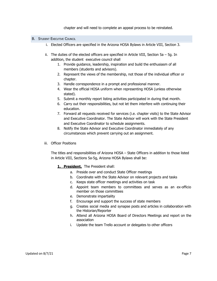chapter and will need to complete an appeal process to be reinstated.

#### <span id="page-7-0"></span>**B.** STUDENT EXECUTIVE COUNCIL

- i. Elected Officers are specified in the Arizona HOSA Bylaws in Article VIII, Section 3.
- ii. The duties of the elected officers are specified in Article VIII, Section  $5a 5g$ . In addition, the student executive council shall
	- 1. Provide guidance, leadership, inspiration and build the enthusiasm of all members (students and advisors).
	- 2. Represent the views of the membership, not those of the individual officer or chapter.
	- 3. Handle correspondence in a prompt and professional manner.
	- 4. Wear the official HOSA uniform when representing HOSA (unless otherwise stated).
	- 5. Submit a monthly report listing activities participated in during that month.
	- 6. Carry out their responsibilities, but not let them interfere with continuing their education.
	- 7. Forward all requests received for services (i.e. chapter visits) to the State Advisor and Executive Coordinator. The State Advisor will work with the State President and Executive Coordinator to schedule assignments.
	- 8. Notify the State Advisor and Executive Coordinator immediately of any circumstances which prevent carrying out an assignment.
- iii. Officer Positions

The titles and responsibilities of Arizona HOSA – State Officers in addition to those listed in Article VIII, Sections 5a-5g, Arizona HOSA Bylaws shall be:

- **1. President.** The President shall:
	- a. Preside over and conduct State Officer meetings
	- b. Coordinate with the State Advisor on relevant projects and tasks
	- c. Keeps state officer meetings and activities on task
	- d. Appoint team members to committees and serves as an ex-officio member on those committees
	- e. Demonstrate impartiality
	- f. Encourage and support the success of state members
	- g. Creates social media and synapse posts and articles in collaboration with the Historian/Reporter
	- h. Attend all Arizona HOSA Board of Directors Meetings and report on the association
	- i. Update the team Trello account or delegates to other officers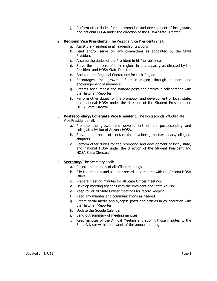- j. Perform other duties for the promotion and development of local, state, and national HOSA under the direction of the HOSA State Director.
- 2. **Regional Vice Presidents.** The Regional Vice Presidents shall:
	- a. Assist the President in all leadership functions
	- b. Lead and/or serve on any committees as appointed by the State President
	- c. Assume the duties of the President in his/her absence.
	- d. Serve the members of their regions in any capacity as directed by the President and HOSA State Director.
	- e. Facilitate the Regional Conference for their Region
	- f. Encourages the growth of their region through support and encouragement of members
	- g. Creates social media and synapse posts and articles in collaboration with the Historian/Reporter
	- h. Perform other duties for the promotion and development of local, state, and national HOSA under the direction of the Student President and HOSA State Director.
- 3. **Postsecondary/Collegiate Vice President.** The Postsecondary/Collegiate Vice President shall:
	- a. Promote the growth and development of the postsecondary and collegiate division of Arizona HOSA.
	- b. Serve as a point of contact for developing postsecondary/collegiate chapters.
	- c. Perform other duties for the promotion and development of local, state, and national HOSA under the direction of the Student President and HOSA State Director.
- 4. **Secretary.** The Secretary shall:
	- a. Record the minutes of all officer meetings
	- b. File the minutes and all other records and reports with the Arizona HOSA **Office**
	- c. Prepare meeting minutes for all State Officer meetings
	- d. Develop meeting agendas with the President and State Advisor
	- e. Keep roll at all State Officer meetings for record keeping
	- f. Read any minutes and communications as needed
	- g. Create social media and synapse posts and articles in collaboration with the Historian/Reporter
	- h. Update the Google Calendar
	- i. Send out summary of meeting minutes
	- j. Keep minutes of the Annual Meeting and submit those minutes to the State Advisor within one week of the annual meeting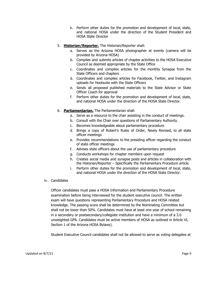- k. Perform other duties for the promotion and development of local, state, and national HOSA under the direction of the Student President and HOSA State Director
- 5. **Historian/Reporter.** The Historian/Reporter shall:
	- a. Serves as the Arizona HOSA photographer at events (camera will be provided by Arizona HOSA)
	- b. Compiles and submits articles of chapter activities to the HOSA Executive Council as deemed appropriate by the State Office
	- c. Coordinates and compiles articles for the monthly Synapse from the State Officers and chapters
	- d. Coordinates and compiles articles for Facebook, Twitter, and Instagram uploads for Hootsuite with the State Officers
	- e. Sends all proposed published materials to the State Advisor or State Officer Coach for approval
	- f. Perform other duties for the promotion and development of local, state, and national HOSA under the direction of the HOSA State Director.
- 6. **Parliamentarian.** The Parliamentarian shall:
	- a. Serve as a resource to the chair assisting in the conduct of meetings.
	- b. Consult with the Chair over questions of Parliamentary Authority.
	- c. Becomes knowledgeable about parliamentary procedure
	- d. Brings a copy of Robert's Rules of Order, Newly Revised, to all state officer meetings
	- e. Provides recommendations to the presiding officer regarding the conduct of state officer meetings
	- f. Advises state officers about the use of parliamentary procedure
	- g. Conducts workshops for chapter members upon request
	- h. Creates social media and synapse posts and articles in collaboration with the Historian/Reporter – Specifically the Parliamentary Procedure article
	- i. Perform other duties for the promotion and development of local, state, and national HOSA under the direction of the HOSA State Director.
- iv. Candidates

Officer candidates must pass a HOSA Information and Parliamentary Procedure examination before being interviewed for the student executive council. The written exam will have questions representing Parliamentary Procedure and HOSA related knowledge. The passing score shall be determined by the Nominating Committee but shall not be lower than 50%. Candidates must have at least one year of school remaining in a secondary or postsecondary/collegiate institution and have a minimum of a 3.0 unweighted GPA. Candidates must be active members of HOSA as outlined in Article VI, Section 1 of the Arizona HOSA Bylaws).

Student Executive Council candidates shall not be allowed to serve as voting delegates at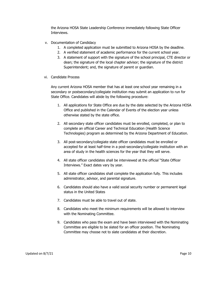the Arizona HOSA State Leadership Conference immediately following State Officer Interviews.

- v. Documentation of Candidacy
	- 1. A completed application must be submitted to Arizona HOSA by the deadline.
	- 2. A verified statement of academic performance for the current school year.
	- 3. A statement of support with the signature of the school principal, CTE director or dean; the signature of the local chapter advisor; the signature of the district Superintendent; and, the signature of parent or guardian.
- vi. Candidate Process

Any current Arizona HOSA member that has at least one school year remaining in a secondary or postsecondary/collegiate institution may submit an application to run for State Office. Candidates will abide by the following procedure:

- 1. All applications for State Office are due by the date selected by the Arizona HOSA Office and published in the Calendar of Events of the election year unless otherwise stated by the state office.
- 2. All secondary state officer candidates must be enrolled, completed, or plan to complete an official Career and Technical Education (Health Science Technologies) program as determined by the Arizona Department of Education.
- 3. All post-secondary/collegiate state officer candidates must be enrolled or accepted for at least half-time in a post-secondary/collegiate institution with an area of study in the health sciences for the year that they will serve.
- 4. All state officer candidates shall be interviewed at the official "State Officer Interviews." Exact dates vary by year.
- 5. All state officer candidates shall complete the application fully. This includes administrator, advisor, and parental signature.
- 6. Candidates should also have a valid social security number or permanent legal status in the United States
- 7. Candidates must be able to travel out of state.
- 8. Candidates who meet the minimum requirements will be allowed to interview with the Nominating Committee.
- 9. Candidates who pass the exam and have been interviewed with the Nominating Committee are eligible to be slated for an officer position. The Nominating Committee may choose not to slate candidates at their discretion.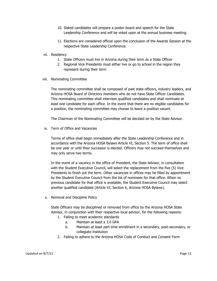- 10. Slated candidates will prepare a poster board and speech for the State Leadership Conference and will be voted upon at the annual business meeting.
- 11. Elections are considered official upon the conclusion of the Awards Session at the respective State Leadership Conference.
- vii. Residency
	- 1. State Officers must live in Arizona during their term as a State Officer
	- 2. Regional Vice Presidents must either live or go to school in the region they represent during their term
- viii. Nominating Committee

The nominating committee shall be composed of past state officers, industry leaders, and Arizona HOSA Board of Directors members who do not have State Officer Candidates. This nominating committee shall interview qualified candidates and shall nominate at least one candidate for each office. In the event that there are no eligible candidates for a position, the nominating committee may choose to leave a position vacant.

The Chairman of the Nominating Committee will be decided on by the State Advisor.

ix. Term of Office and Vacancies

Terms of office shall begin immediately after the State Leadership Conference and in accordance with the Arizona HOSA Bylaws Article VI, Section 5. The term of office shall be one year or until their successor is elected. Officers may not succeed themselves and may only serve two terms.

In the event of a vacancy in the office of President, the State Advisor, in consultation with the Student Executive Council, will select the replacement from the five (5) Vice Presidents to finish out the term. Other vacancies in offices may be filled by appointment by the Student Executive Council from the list of nominees for that office. When no previous candidate for that office is available, the Student Executive Council may select another qualified candidate (Article VI, Section 6, Arizona HOSA Bylaws).

x. Removal and Discipline Policy

State Officers may be disciplined or removed from office by the Arizona HOSA State Advisor, in conjunction with their respective local advisor, for the following reasons:

- 1. Failing to meet academic standards
	- a. Maintain at least a 3.0 GPA
	- b. Maintain at least part time enrollment in a secondary, post-secondary, or collegiate institution
- 2. Failing to adhere to the Arizona HOSA Code of Conduct and Consent Form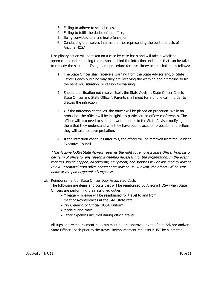- 3. Failing to adhere to school rules,
- 4. Failing to fulfill the duties of the office,
- 5. Being convicted of a criminal offense, or
- 6. Conducting themselves in a manner not representing the best interests of Arizona HOSA

Disciplinary action will be taken on a case by case basis and will take a wholistic approach to understanding the reasons behind the infraction and steps that can be taken to remedy the situation. The general procedure for disciplinary action shall be as follows:

- 1. The State Officer shall receive a warning from the State Advisor and/or State Officer Coach outlining why they are receiving the warning and a timeline to fix the behavior, situation, or reason for warning.
- 2. Should the situation not resolve itself, the State Advisor, State Officer Coach, State Officer and State Officer's Parents shall meet for a phone call in order to discuss the infraction
- 3. If the infraction continues, the officer will be placed on probation. While on probation, the officer will be ineligible to participate in officer conferences. The officer will also need to submit a written letter to the State Advisor notifying them that they understand why they have been placed on probation and actions they will take to leave probation.
- 4. If the infraction continues after this, the officer will be removed from the Student Executive Council.

\*The Arizona HOSA State Advisor reserves the right to remove <sup>a</sup> State Officer from his or her term of office for any reason if deemed necessary for the organization. In the event that this should happen, all uniforms, equipment, and supplies will be returned to Arizona HOSA. If removal from office occurs at an Arizona HOSA event, the officer will be sent home at the parent/guardian's expense.

- xi. Reimbursement of State Officer Duty Associated Costs The following are items and costs that will be reimbursed by Arizona HOSA when State Officers are performing their assigned duties.
	- Mileage mileage will be reimbursed for travel to and from meetings/conferences at the GAO state rate
	- Dry Cleaning of Official HOSA Uniform
	- Meals during travel
	- Other expenses incurred during official travel

All trips and reimbursement requests must be pre-approved by the State Advisor and/or State Officer Coach prior to the travel. Reimbursement requests MUST be submitted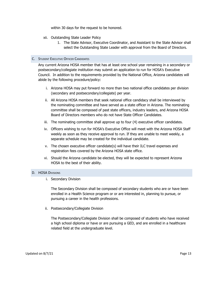within 30 days for the request to be honored.

- xii. Outstanding State Leader Policy
	- 1. The State Advisor, Executive Coordinator, and Assistant to the State Advisor shall select the Outstanding State Leader with approval from the Board of Directors.

#### <span id="page-13-0"></span>C. STUDENT EXECUTIVE OFFICER CANDIDATES

Any current Arizona HOSA member that has at least one school year remaining in a secondary or postsecondary/collegiate institution may submit an application to run for HOSA's Executive Council. In addition to the requirements provided by the National Office, Arizona candidates will abide by the following procedure/policy:

- i. Arizona HOSA may put forward no more than two national office candidates per division (secondary and postsecondary/collegiate) per year.
- ii. All Arizona HOSA members that seek national office candidacy shall be interviewed by the nominating committee and have served as a state officer in Arizona. The nominating committee shall be composed of past state officers, industry leaders, and Arizona HOSA Board of Directors members who do not have State Officer Candidates.
- iii. The nominating committee shall approve up to four (4) executive officer candidates.
- iv. Officers wishing to run for HOSA's Executive Office will meet with the Arizona HOSA Staff weekly as soon as they receive approval to run. If they are unable to meet weekly, a separate schedule may be created for the individual candidate.
- v. The chosen executive officer candidate(s) will have their ILC travel expenses and registration fees covered by the Arizona HOSA state office.
- vi. Should the Arizona candidate be elected, they will be expected to represent Arizona HOSA to the best of their ability.

#### <span id="page-13-1"></span>D. **HOSA DIVISIONS**

i. Secondary Division

The Secondary Division shall be composed of secondary students who are or have been enrolled in a Health Science program or or are interested in, planning to pursue, or pursuing a career in the health professions.

ii. Postsecondary/Collegiate Division

The Postsecondary/Collegiate Division shall be composed of students who have received a high school diploma or have or are pursuing a GED, and are enrolled in a healthcare related field at the undergraduate level.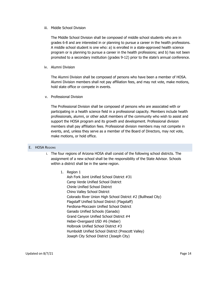#### iii. Middle School Division

The Middle School Division shall be composed of middle school students who are in grades 6-8 and are interested in or planning to pursue a career in the health professions. A middle school student is one who: a) is enrolled in a state-approved health science program or is planning to pursue a career in the health professions; and b) has not been promoted to a secondary institution (grades 9-12) prior to the state's annual conference.

## iv. Alumni Division

The Alumni Division shall be composed of persons who have been a member of HOSA. Alumni Division members shall not pay affiliation fees, and may not vote, make motions, hold state office or compete in events.

# v. Professional Division

The Professional Division shall be composed of persons who are associated with or participating in a health science field in a professional capacity. Members include health professionals, alumni, or other adult members of the community who wish to assist and support the HOSA program and its growth and development. Professional division members shall pay affiliation fees. Professional division members may not compete in events, and, unless they serve as a member of the Board of Directors, may not vote, make motions, or hold office.

# <span id="page-14-0"></span>E. HOSA REGIONS

- i. The four regions of Arizona HOSA shall consist of the following school districts. The assignment of a new school shall be the responsibility of the State Advisor. Schools within a district shall be in the same region.
	- 1. Region 1

Ash Fork Joint Unified School District #31 Camp Verde Unified School District Chinle Unified School District Chino Valley School District Colorado River Union High School District #2 (Bullhead City) Flagstaff Unified School District (Flagstaff) Ferdiona-Moccasin Unified School District Ganado Unified Schools (Ganado) Grand Canyon Unified School District #4 Heber-Overgaard USD #6 (Heber) Holbrook Unified School District #3 Humboldt Unified School District (Prescott Valley) Joseph City School District (Joseph City)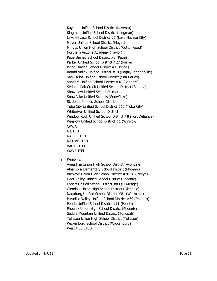Kayenta Unified School District (Kayenta) Kingman Unified School District (Kingman) Lake Havasu School District #1 (Lake Havasu City) Mayer Unified School District (Mayer) Mingus Union High School District (Cottonwood) Northern Arizona Academy (Taylor) Page Unified School District #8 (Page) Parker Unified School District #27 (Parker) Pinon Unified School District #4 (Pinon) Round Valley Unified District #10 (Eagar/Springerville) San Carlos Unified School District (San Carlos) Sanders Unified School District #18 (Sanders) Sedona-Oak Creek Unified School District (Sedona) Show Low Unified School District Snowflake Unified Schools (Snowflake) St. Johns Unified School District Tuba City Unified School District #15 (Tuba City) Whiteriver Unified School District Window Rock Unified School District #8 (Fort Defiance) Winslow Unified School District #1 (Winslow) CAVIAT MIJTED NAVIT JTED NATIVE JTED VACTE JTED WAVE JTED

2. Region 2

Agua Fria Union High School District (Avondale) Alhambra Elementary School District (Phoenix) Buckeye Union High School District #201 (Buckeye) Deer Valley Unified School District (Phoenix) Dysart Unified School District #89 (El Mirage) Glendale Union High School District (Glendale) Nadaburg Unified School District #81 (Wittmann) Paradise Valley Unified School District #69 (Phoenix) Peoria Unified School District #11 (Peoria) Phoenix Union High School District (Phoenix) Saddle Mountain Unified District (Tonopah) Tolleson Union High School District (Tolleson) Wickenburg School District (Wickenburg) West MEC JTED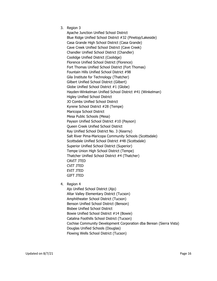3. Region 3

Apache Junction Unified School District Blue Ridge Unified School District #32 (Pinetop/Lakeside) Casa Grande High School District (Casa Grande) Cave Creek Unified School District (Cave Creek) Chandler Unified School District (Chandler) Coolidge Unified District (Coolidge) Florence Unified School District (Florence) Fort Thomas Unified School District (Fort Thomas) Fountain Hills Unified School District #98 Gila Institute for Technology (Thatcher) Gilbert Unified School District (Gilbert) Globe Unified School District #1 (Globe) Hayden-Winkelman Unified School District #41 (Winkelman) Higley Unified School District JO Combs Unified School District Kyrene School District #28 (Tempe) Maricopa School District Mesa Public Schools (Mesa) Payson Unified School District #10 (Payson) Queen Creek Unified School District Ray Unified School District No. 3 (Kearny) Salt River Pima-Maricopa Community Schools (Scottsdale) Scottsdale Unified School District #48 (Scottsdale) Superior Unified School District (Superior) Tempe Union High School District (Tempe) Thatcher Unified School District #4 (Thatcher) CAVIT JTED CVIT JTED EVIT JTED GIFT JTED

4. Region 4

Ajo Unified School District (Ajo) Altar Valley Elementary District (Tucson) Amphitheater School District (Tucson) Benson Unified School District (Benson) Bisbee Unified School District Bowie Unified School District #14 (Bowie) Catalina Foothills School District (Tucson) Cochise Community Development Corporation dba Berean (Sierra Vista) Douglas Unified Schools (Douglas) Flowing Wells School District (Tucson)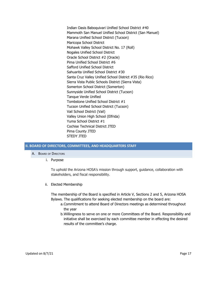Indian Oasis Baboquivari Unified School District #40 Mammoth San Manuel Unified School District (San Manuel) Marana Unified School District (Tucson) Maricopa School District Mohawk Valley School District No. 17 (Roll) Nogales Unified School District Oracle School District #2 (Oracle) Pima Unified School District #6 Safford Unified School District Sahuarita Unified School District #30 Santa Cruz Valley Unified School District #35 (Rio Rico) Sierra Vista Public Schools District (Sierra Vista) Somerton School District (Somerton) Sunnyside Unified School District (Tucson) Tanque Verde Unified Tombstone Unified School District #1 Tucson Unified School District (Tucson) Vail School District (Vail) Valley Union High School (Elfrida) Yuma School District #1 Cochise Technical District JTED Pima County JTED STEDY JTED

#### <span id="page-17-1"></span><span id="page-17-0"></span>**II. BOARD OF DIRECTORS, COMMITTEES, AND HEADQUARTERS STAFF**

- A. BOARD OF DIRECTORS
	- i. Purpose

To uphold the Arizona HOSA's mission through support, guidance, collaboration with stakeholders, and fiscal responsibility.

ii. Elected Membership

The membership of the Board is specified in Article V, Sections 2 and 5, Arizona HOSA Bylaws. The qualifications for seeking elected membership on the board are:

- a.Commitment to attend Board of Directors meetings as determined throughout the year
- b.Willingness to serve on one or more Committees of the Board. Responsibility and initiative shall be exercised by each committee member in effecting the desired results of the committee's charge.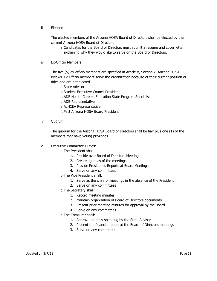iii. Election

The elected members of the Arizona HOSA Board of Directors shall be elected by the current Arizona HOSA Board of Directors.

- a.Candidates for the Board of Directors must submit a resume and cover letter explaining why they would like to serve on the Board of Directors.
- iv. Ex-Officio Members

The five (5) ex-officio members are specified in Article V, Section 2, Arizona HOSA Bylaws. Ex-Officio members serve the organization because of their current position or titles and are not elected.

a.State Advisor

b.Student Executive Council President

c.ADE Health Careers Education State Program Specialist

d.ADE Representative

- e.AzHCEA Representative
- f. Past Arizona HOSA Board President
- v. Quorum

The quorum for the Arizona HOSA Board of Directors shall be half plus one (1) of the members that have voting privileges.

- vi. Executive Committee Duties:
	- a.The President shall:
		- 1. Preside over Board of Directors Meetings
		- 2. Create agendas of the meetings
		- 3. Provide President's Reports at Board Meetings
		- 4. Serve on any committees
	- b.The Vice President shall:
		- 1. Serve as the chair of meetings in the absence of the President
		- 2. Serve on any committees
	- c.The Secretary shall:
		- 1. Record meeting minutes
		- 2. Maintain organization of Board of Directors documents
		- 3. Present prior meeting minutes for approval by the Board
		- 4. Serve on any committees
	- d.The Treasurer shall:
		- 1. Approve monthly spending by the State Advisor
		- 2. Present the financial report at the Board of Directors meetings
		- 3. Serve on any committees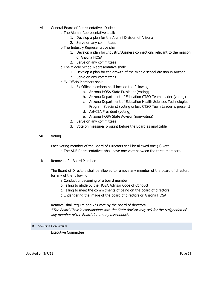- vii. General Board of Representatives Duties:
	- a.The Alumni Representative shall:
		- 1. Develop a plan for the Alumni Division of Arizona
		- 2. Serve on any committees
	- b.The Industry Representative shall:
		- 1. Develop a plan for Industry/Business connections relevant to the mission of Arizona HOSA
		- 2. Serve on any committees
	- c.The Middle School Representative shall:
		- 1. Develop a plan for the growth of the middle school division in Arizona
		- 2. Serve on any committees
	- d.Ex-Officio Members shall:
		- 1. Ex Officio members shall include the following:
			- a. Arizona HOSA State President (voting)
			- b. Arizona Department of Education CTSO Team Leader (voting)
			- c. Arizona Department of Education Health Sciences Technologies Program Specialist (voting unless CTSO Team Leader is present)
			- d. AzHCEA President (voting)
			- e. Arizona HOSA State Advisor (non-voting)
		- 2. Serve on any committees
		- 3. Vote on measures brought before the Board as applicable
- viii. Voting

Each voting member of the Board of Directors shall be allowed one (1) vote. a.The ADE Representatives shall have one vote between the three members.

ix. Removal of a Board Member

The Board of Directors shall be allowed to remove any member of the board of directors for any of the following:

a.Conduct unbecoming of a board member

- b.Failing to abide by the HOSA Advisor Code of Conduct
- c. Failing to meet the commitments of being on the board of directors
- d.Endangering the image of the board of directors or Arizona HOSA

Removal shall require and 2/3 vote by the board of directors \*The Board Chair in coordination with the State Advisor may ask for the resignation of any member of the Board due to any misconduct.

- <span id="page-19-0"></span>**B.** STANDING COMMITTEES
	- i. Executive Committee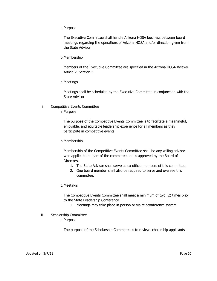a.Purpose

The Executive Committee shall handle Arizona HOSA business between board meetings regarding the operations of Arizona HOSA and/or direction given from the State Advisor.

b.Membership

Members of the Executive Committee are specified in the Arizona HOSA Bylaws Article V, Section 5.

c.Meetings

Meetings shall be scheduled by the Executive Committee in conjunction with the State Advisor

ii. Competitive Events Committee

a.Purpose

The purpose of the Competitive Events Committee is to facilitate a meaningful, enjoyable, and equitable leadership experience for all members as they participate in competitive events.

b.Membership

Membership of the Competitive Events Committee shall be any willing advisor who applies to be part of the committee and is approved by the Board of Directors.

- 1. The State Advisor shall serve as ex officio members of this committee.
- 2. One board member shall also be required to serve and oversee this committee.
- c.Meetings

The Competitive Events Committee shall meet a minimum of two (2) times prior to the State Leadership Conference.

- 1. Meetings may take place in person or via teleconference system
- iii. Scholarship Committee
	- a.Purpose

The purpose of the Scholarship Committee is to review scholarship applicants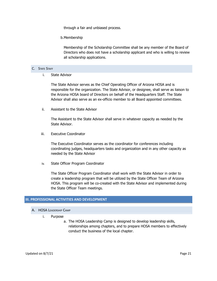through a fair and unbiased process.

b.Membership

Membership of the Scholarship Committee shall be any member of the Board of Directors who does not have a scholarship applicant and who is willing to review all scholarship applications.

#### <span id="page-21-0"></span>C. STATE STAFF

i. State Advisor

The State Advisor serves as the Chief Operating Officer of Arizona HOSA and is responsible for the organization. The State Advisor, or designee, shall serve as liaison to the Arizona HOSA board of Directors on behalf of the Headquarters Staff. The State Advisor shall also serve as an ex-officio member to all Board appointed committees.

ii. Assistant to the State Advisor

The Assistant to the State Advisor shall serve in whatever capacity as needed by the State Advisor.

iii. Executive Coordinator

The Executive Coordinator serves as the coordinator for conferences including coordinating judges, headquarters tasks and organization and in any other capacity as needed by the State Advisor

iv. State Officer Program Coordinator

The State Officer Program Coordinator shall work with the State Advisor in order to create a leadership program that will be utilized by the State Officer Team of Arizona HOSA. This program will be co-created with the State Advisor and implemented during the State Officer Team meetings.

# <span id="page-21-2"></span><span id="page-21-1"></span>**III. PROFESSIONAL ACTIVITIES AND DEVELOPMENT**

## A. HOSA LEADERSHIP CAMP

- i. Purpose
	- a. The HOSA Leadership Camp is designed to develop leadership skills, relationships among chapters, and to prepare HOSA members to effectively conduct the business of the local chapter.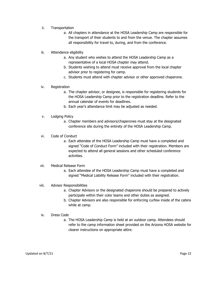## ii. Transportation

- a. All chapters in attendance at the HOSA Leadership Camp are responsible for the transport of their students to and from the venue. The chapter assumes all responsibility for travel to, during, and from the conference.
- iii. Attendance eligibility
	- a. Any student who wishes to attend the HOSA Leadership Camp as a representative of a local HOSA chapter may attend.
	- b. Students wishing to attend must receive approval from the local chapter advisor prior to registering for camp.
	- c. Students must attend with chapter advisor or other approved chaperone.

#### iv. Registration

- a. The chapter advisor, or designee, is responsible for registering students for the HOSA Leadership Camp prior to the registration deadline. Refer to the annual calendar of events for deadlines.
- b. Each year's attendance limit may be adjusted as needed.
- v. Lodging Policy
	- a. Chapter members and advisors/chaperones must stay at the designated conference site during the entirety of the HOSA Leadership Camp.
- vi. Code of Conduct
	- a. Each attendee of the HOSA Leadership Camp must have a completed and signed "Code of Conduct Form" included with their registration. Members are expected to attend all general sessions and other scheduled conference activities.
- vii. Medical Release Form
	- a. Each attendee of the HOSA Leadership Camp must have a completed and signed "Medical Liability Release Form" included with their registration.
- viii. Advisor Responsibilities
	- a. Chapter Advisors or the designated chaperone should be prepared to actively participate within their color teams and other duties as assigned.
	- b. Chapter Advisors are also responsible for enforcing curfew inside of the cabins while at camp.
- ix. Dress Code
	- a. The HOSA Leadership Camp is held at an outdoor camp. Attendees should refer to the camp information sheet provided on the Arizona HOSA website for clearer instructions on appropriate attire.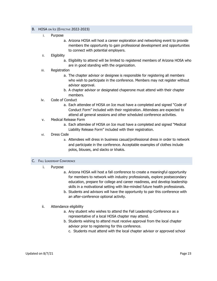#### <span id="page-23-0"></span>B. HOSA ON ICE (EFFECTIVE 2022-2023)

- i. Purpose
	- a. Arizona HOSA will host a career exploration and networking event to provide members the opportunity to gain professional development and opportunities to connect with potential employers.
- ii. Eligibility
	- a. Eligibility to attend will be limited to registered members of Arizona HOSA who are in good standing with the organization.
- iii. Registration
	- a. The chapter advisor or designee is responsible for registering all members who wish to participate in the conference. Members may not register without advisor approval.
	- b. A chapter advisor or designated chaperone must attend with their chapter members.

#### iv. Code of Conduct

- a. Each attendee of HOSA on Ice must have a completed and signed "Code of Conduct Form" included with their registration. Attendees are expected to attend all general sessions and other scheduled conference activities.
- v. Medical Release Form
	- a. Each attendee of HOSA on Ice must have a completed and signed "Medical Liability Release Form" included with their registration.
- vi. Dress Code
	- a. Attendees will dress in business casual/professional dress in order to network and participate in the conference. Acceptable examples of clothes include polos, blouses, and slacks or khakis.

#### <span id="page-23-1"></span>C. FALL LEADERSHIP CONFERENCE

- i. Purpose
	- a. Arizona HOSA will host a fall conference to create a meaningful opportunity for members to network with industry professionals, explore postsecondary education, prepare for college and career readiness, and develop leadership skills in a motivational setting with like-minded future health professionals.
	- b. Students and advisors will have the opportunity to pair this conference with an after-conference optional activity.
- ii. Attendance eligibility
	- a. Any student who wishes to attend the Fall Leadership Conference as a representative of a local HOSA chapter may attend.
	- b. Students wishing to attend must receive approval from the local chapter advisor prior to registering for this conference.
		- c. Students must attend with the local chapter advisor or approved school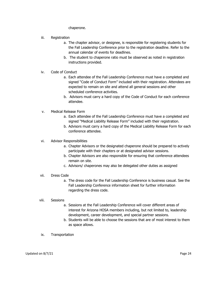chaperone.

- iii. Registration
	- a. The chapter advisor, or designee, is responsible for registering students for the Fall Leadership Conference prior to the registration deadline. Refer to the annual calendar of events for deadlines.
	- b. The student to chaperone ratio must be observed as noted in registration instructions provided.
- iv. Code of Conduct
	- a. Each attendee of the Fall Leadership Conference must have a completed and signed "Code of Conduct Form" included with their registration. Attendees are expected to remain on site and attend all general sessions and other scheduled conference activities.
	- b. Advisors must carry a hard copy of the Code of Conduct for each conference attendee.
- v. Medical Release Form
	- a. Each attendee of the Fall Leadership Conference must have a completed and signed "Medical Liability Release Form" included with their registration.
	- b. Advisors must carry a hard copy of the Medical Liability Release Form for each conference attendee.

# vi. Advisor Responsibilities

- a. Chapter Advisors or the designated chaperone should be prepared to actively participate with their chapters or at designated advisor sessions.
- b. Chapter Advisors are also responsible for ensuring that conference attendees remain on site.
- c. Advisors/ chaperones may also be delegated other duties as assigned
- vii. Dress Code
	- a. The dress code for the Fall Leadership Conference is business casual. See the Fall Leadership Conference information sheet for further information regarding the dress code.

# viii. Sessions

- a. Sessions at the Fall Leadership Conference will cover different areas of interest for Arizona HOSA members including, but not limited to, leadership development, career development, and special partner sessions.
- b. Students will be able to choose the sessions that are of most interest to them as space allows.
- ix. Transportation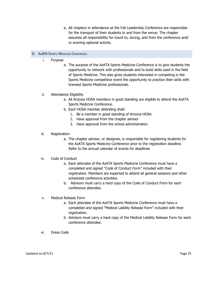a. All chapters in attendance at the Fall Leadership Conference are responsible for the transport of their students to and from the venue. The chapter assumes all responsibility for travel to, during, and from the conference and/ or evening optional activity.

# <span id="page-25-0"></span>D. AZATA SPORTS MEDICINE CONFERENCE

- i. Purpose
	- a. The purpose of the AzATA Sports Medicine Conference is to give students the opportunity to network with professionals and to build skills used in the field of Sports Medicine. This also gives students interested in competing in the Sports Medicine competitive event the opportunity to practice their skills with licensed Sports Medicine professionals.

# ii. Attendance Eligibility

- a. All Arizona HOSA members in good standing are eligible to attend the AzATA Sports Medicine Conference.
- b. Each HOSA member attending shall:
	- 1. Be a member in good standing of Arizona HOSA
	- 2. Have approval from the chapter advisor
	- 3. Have approval from the school administration
- iii. Registration
	- a. The chapter advisor, or designee, is responsible for registering students for the AzATA Sports Medicine Conference prior to the registration deadline. Refer to the annual calendar of events for deadlines

#### iv. Code of Conduct

- a. Each attendee of the AzATA Sports Medicine Conference must have a completed and signed "Code of Conduct Form" included with their registration. Members are expected to attend all general sessions and other scheduled conference activities.
- b. Advisors must carry a hard copy of the Code of Conduct Form for each conference attendee.
- v. Medical Release Form
	- a. Each attendee of the AzATA Sports Medicine Conference must have a completed and signed "Medical Liability Release Form" included with their registration.
	- b. Advisors must carry a hard copy of the Medical Liability Release Form for each conference attendee.
- vi. Dress Code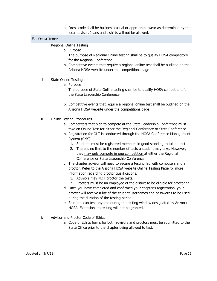a. Dress code shall be business casual or appropriate wear as determined by the local advisor. Jeans and t-shirts will not be allowed.

# <span id="page-26-0"></span>E. ONLINE TESTING

- i. Regional Online Testing
	- a. Purpose

The purpose of Regional Online testing shall be to qualify HOSA competitors for the Regional Conference

b. Competitive events that require a regional online test shall be outlined on the Arizona HOSA website under the competitions page

# ii. State Online Testing

a. Purpose

The purpose of State Online testing shall be to qualify HOSA competitors for the State Leadership Conference.

- b. Competitive events that require a regional online test shall be outlined on the Arizona HOSA website under the competitions page
- iii. Online Testing Procedures
	- a. Competitors that plan to compete at the State Leadership Conference must take an Online Test for either the Regional Conference or State Conference.
	- b. Registration for OLT is conducted through the HOSA Conference Management System (CMS).
		- 1. Students must be registered members in good standing to take a test.
		- 2. There is no limit to the number of tests a student may take. However, they may only compete in one competition at either the Regional Conference or State Leadership Conference.
	- c. The chapter advisor will need to secure a testing lab with computers and a proctor. Refer to the Arizona HOSA website Online Testing Page for more information regarding proctor qualifications.
		- 1. Advisors may NOT proctor the tests.
		- 2. Proctors must be an employee of the district to be eligible for proctoring.
	- d. Once you have completed and confirmed your chapter's registration, your proctor will receive a list of the student usernames and passwords to be used during the duration of the testing period.
	- e. Students can test anytime during the testing window designated by Arizona HOSA. Extensions to testing will not be granted.
- iv. Advisor and Proctor Code of Ethics
	- a. Code of Ethics forms for both advisors and proctors must be submitted to the State Office prior to the chapter being allowed to test.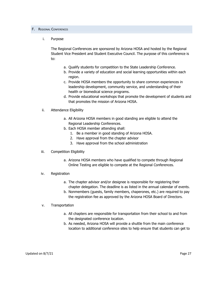#### <span id="page-27-0"></span>F. REGIONAL CONFERENCES

#### i. Purpose

The Regional Conferences are sponsored by Arizona HOSA and hosted by the Regional Student Vice President and Student Executive Council. The purpose of this conference is to:

- a. Qualify students for competition to the State Leadership Conference.
- b. Provide a variety of education and social learning opportunities within each region.
- c. Provide HOSA members the opportunity to share common experiences in leadership development, community service, and understanding of their health or biomedical science programs.
- d. Provide educational workshops that promote the development of students and that promotes the mission of Arizona HOSA.
- ii. Attendance Eligibility
	- a. All Arizona HOSA members in good standing are eligible to attend the Regional Leadership Conferences.
	- b. Each HOSA member attending shall:
		- 1. Be a member in good standing of Arizona HOSA.
		- 2. Have approval from the chapter advisor
		- 3. Have approval from the school administration
- iii. Competition Eligibility
	- a. Arizona HOSA members who have qualified to compete through Regional Online Testing are eligible to compete at the Regional Conferences.
- iv. Registration
	- a. The chapter advisor and/or designee is responsible for registering their chapter delegation. The deadline is as listed in the annual calendar of events.
	- b. Nonmembers (guests, family members, chaperones, etc.) are required to pay the registration fee as approved by the Arizona HOSA Board of Directors.
- v. Transportation
	- a. All chapters are responsible for transportation from their school to and from the designated conference location.
	- b. As needed, Arizona HOSA will provide a shuttle from the main conference location to additional conference sites to help ensure that students can get to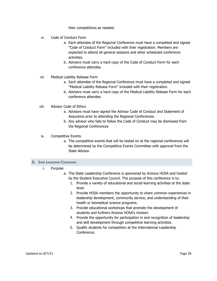their competitions as needed.

- vi. Code of Conduct Form
	- a. Each attendee of the Regional Conference must have a completed and signed "Code of Conduct Form" included with their registration. Members are expected to attend all general sessions and other scheduled conference activities.
	- b. Advisors must carry a hard copy of the Code of Conduct Form for each conference attendee.
- vii. Medical Liability Release Form
	- a. Each attendee of the Regional Conference must have a completed and signed "Medical Liability Release Form" included with their registration.
	- b. Advisors must carry a hard copy of the Medical Liability Release Form for each conference attendee.
- viii. Advisor Code of Ethics
	- a. Advisors must have signed the Advisor Code of Conduct and Statement of Assurance prior to attending the Regional Conferences.
	- b. Any advisor who fails to follow the Code of Conduct may be dismissed from the Regional Conferences
- ix. Competitive Events
	- a. The competitive events that will be tested on at the regional conferences will be determined by the Competitive Events Committee with approval from the State Advisor.

#### <span id="page-28-0"></span>G. STATE LEADERSHIP CONFERENCE

- i. Purpose
	- a. The State Leadership Conference is sponsored by Arizona HOSA and hosted by the Student Executive Council. The purpose of this conference is to:
		- 1. Provide a variety of educational and social learning activities at the state level.
		- 2. Provide HOSA members the opportunity to share common experiences in leadership development, community service, and understanding of their health or biomedical science programs.
		- 3. Provide educational workshops that promote the development of students and furthers Arizona HOSA's mission.
		- 4. Provide the opportunity for participation in and recognition of leadership and skill development through competitive learning activities.
		- 5. Qualify students for competition at the International Leadership Conference.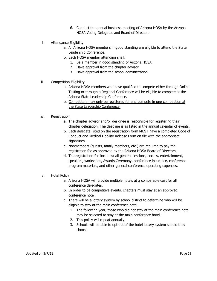- 6. Conduct the annual business meeting of Arizona HOSA by the Arizona HOSA Voting Delegates and Board of Directors.
- ii. Attendance Eligibility
	- a. All Arizona HOSA members in good standing are eligible to attend the State Leadership Conference.
	- b. Each HOSA member attending shall:
		- 1. Be a member in good standing of Arizona HOSA.
		- 2. Have approval from the chapter advisor
		- 3. Have approval from the school administration
- iii. Competition Eligibility
	- a. Arizona HOSA members who have qualified to compete either through Online Testing or through a Regional Conference will be eligible to compete at the Arizona State Leadership Conference.
	- b. Competitors may only be registered for and compete in one competition at the State Leadership Conference.
- iv. Registration
	- a. The chapter advisor and/or designee is responsible for registering their chapter delegation. The deadline is as listed in the annual calendar of events.
	- b. Each delegate listed on the registration form MUST have a completed Code of Conduct and Medical Liability Release Form on file with the appropriate signatures.
	- c. Nonmembers (guests, family members, etc.) are required to pay the registration fee as approved by the Arizona HOSA Board of Directors.
	- d. The registration fee includes: all general sessions, socials, entertainment, speakers, workshops, Awards Ceremony, conference insurance, conference program materials, and other general conference operating expenses.
- v. Hotel Policy
	- a. Arizona HOSA will provide multiple hotels at a comparable cost for all conference delegates.
	- b. In order to be competitive events, chapters must stay at an approved conference hotel.
	- c. There will be a lottery system by school district to determine who will be eligible to stay at the main conference hotel.
		- 1. The following year, those who did not stay at the main conference hotel may be selected to stay at the main conference hotel.
		- 2. This policy will repeat annually.
		- 3. Schools will be able to opt out of the hotel lottery system should they choose.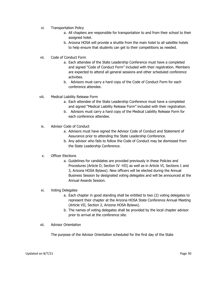- vi. Transportation Policy
	- a. All chapters are responsible for transportation to and from their school to their assigned hotel.
	- b. Arizona HOSA will provide a shuttle from the main hotel to all satellite hotels to help ensure that students can get to their competitions as needed.
- vii. Code of Conduct Form
	- a. Each attendee of the State Leadership Conference must have a completed and signed "Code of Conduct Form" included with their registration. Members are expected to attend all general sessions and other scheduled conference activities.
	- b. Advisors must carry a hard copy of the Code of Conduct Form for each conference attendee.
- viii. Medical Liability Release Form
	- a. Each attendee of the State Leadership Conference must have a completed and signed "Medical Liability Release Form" included with their registration.
	- b. Advisors must carry a hard copy of the Medical Liability Release Form for each conference attendee.
- ix. Advisor Code of Conduct
	- a. Advisors must have signed the Advisor Code of Conduct and Statement of Assurance prior to attending the State Leadership Conference.
	- b. Any advisor who fails to follow the Code of Conduct may be dismissed from the State Leadership Conference.

# x. Officer Elections

a. Guidelines for candidates are provided previously in these Policies and Procedures (Article D, Section IV -VII) as well as in Article VI, Sections 1 and 3, Arizona HOSA Bylaws). New officers will be elected during the Annual Business Session by designated voting delegates and will be announced at the Annual Awards Session.

# xi. Voting Delegates

- a. Each chapter in good standing shall be entitled to two (2) voting delegates to represent their chapter at the Arizona HOSA State Conference Annual Meeting (Article VII, Section 2, Arizona HOSA Bylaws).
- b. The names of voting delegates shall be provided by the local chapter advisor prior to arrival at the conference site.
- xii. Advisor Orientation

The purpose of the Advisor Orientation scheduled for the first day of the State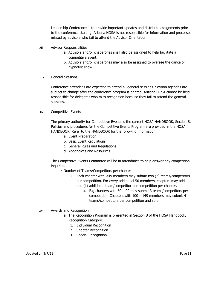Leadership Conference is to provide important updates and distribute assignments prior to the conference starting. Arizona HOSA is not responsible for information and processes missed by advisors who fail to attend the Advisor Orientation

- xiii. Advisor Responsibilities
	- a. Advisors and/or chaperones shall also be assigned to help facilitate a competitive event.
	- b. Advisors and/or chaperones may also be assigned to oversee the dance or hypnotist show.
- xiv. General Sessions

Conference attendees are expected to attend all general sessions. Session agendas are subject to change after the conference program is printed. Arizona HOSA cannot be held responsible for delegates who miss recognition because they fail to attend the general sessions.

xv. Competitive Events

The primary authority for Competitive Events is the current HOSA HANDBOOK, Section B. Policies and procedures for the Competitive Events Program are provided in the HOSA HANDBOOK. Refer to the HANDBOOK for the following information.

- a. Event Preparation
- b. Basic Event Regulations
- c. General Rules and Regulations
- d. Appendices and Resources

The Competitive Events Committee will be in attendance to help answer any competition inquiries.

a. Number of Teams/Competitors per chapter

- 1. Each chapter with <49 members may submit two (2) teams/competitors per competition. For every additional 50 members, chapters may add one (1) additional team/competitor per competition per chapter.
	- a. E.g chapters with 50 99 may submit 3 teams/competitors per competition. Chapters with 100 – 149 members may submit 4 teams/competitors per competition and so on.
- xvi. Awards and Recognition
	- a. The Recognition Program is presented in Section B of the HOSA Handbook, Recognition Category.
		- 1. Individual Recognition
		- 2. Chapter Recognition
		- 3. Special Recognition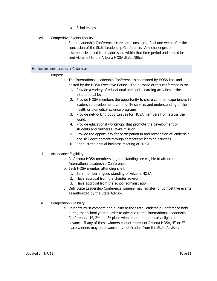4. Scholarships

# xvii. Competitive Events Inquiry

a. State Leadership Conference scores are considered final one-week after the conclusion of the State Leadership Conference. Any challenges or discrepancies need to be addressed within that time period and should be sent via email to the Arizona HOSA State Office.

#### <span id="page-32-0"></span>H. INTERNATIONAL LEADERSHIP CONFERENCE

- i. Purpose
	- a. The International Leadership Conference is sponsored by HOSA Inc. and hosted by the HOSA Executive Council. The purpose of this conference is to:
		- 1. Provide a variety of educational and social learning activities at the international level.
		- 2. Provide HOSA members the opportunity to share common experiences in leadership development, community service, and understanding of their health or biomedical science programs.
		- 3. Provide networking opportunities for HOSA members from across the world.
		- 4. Provide educational workshops that promote the development of students and furthers HOSA's mission.
		- 5. Provide the opportunity for participation in and recognition of leadership and skill development through competitive learning activities.
		- 6. Conduct the annual business meeting of HOSA.

# ii. Attendance Eligibility

- a. All Arizona HOSA members in good standing are eligible to attend the International Leadership Conference.
- b. Each HOSA member attending shall:
	- 1. Be a member in good standing of Arizona HOSA
	- 2. Have approval from the chapter advisor
	- 3. Have approval from the school administration
- c. Only State Leadership Conference winners may register for competitive events as authorized by the State Advisor.
- iii. Competition Eligibility
	- a. Students must compete and qualify at the State Leadership Conference held during that school year in order to advance to the International Leadership Conference.  $1<sup>st</sup>$ ,  $2<sup>nd</sup>$  and  $3<sup>rd</sup>$  place winners are automatically eligible to advance. If any of these winners cannot represent Arizona HOSA,  $4<sup>th</sup>$  or  $5<sup>th</sup>$ place winners may be advanced by notification from the State Advisor.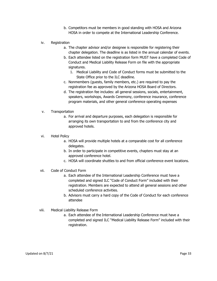- b. Competitors must be members in good standing with HOSA and Arizona HOSA in order to compete at the International Leadership Conference.
- iv. Registration
	- a. The chapter advisor and/or designee is responsible for registering their chapter delegation. The deadline is as listed in the annual calendar of events.
	- b. Each attendee listed on the registration form MUST have a completed Code of Conduct and Medical Liability Release Form on file with the appropriate signatures.
		- 1. Medical Liability and Code of Conduct forms must be submitted to the State Office prior to the ILC deadline.
	- c. Nonmembers (guests, family members, etc.) are required to pay the registration fee as approved by the Arizona HOSA Board of Directors.
	- d. The registration fee includes: all general sessions, socials, entertainment, speakers, workshops, Awards Ceremony, conference insurance, conference program materials, and other general conference operating expenses
- v. Transportation
	- a. For arrival and departure purposes, each delegation is responsible for arranging its own transportation to and from the conference city and approved hotels.
- vi. Hotel Policy
	- a. HOSA will provide multiple hotels at a comparable cost for all conference delegates.
	- b. In order to participate in competitive events, chapters must stay at an approved conference hotel.
	- c. HOSA will coordinate shuttles to and from official conference event locations.
- vii. Code of Conduct Form
	- a. Each attendee of the International Leadership Conference must have a completed and signed ILC "Code of Conduct Form" included with their registration. Members are expected to attend all general sessions and other scheduled conference activities.
	- b. Advisors must carry a hard copy of the Code of Conduct for each conference attendee
- viii. Medical Liability Release Form
	- a. Each attendee of the International Leadership Conference must have a completed and signed ILC "Medical Liability Release Form" included with their registration.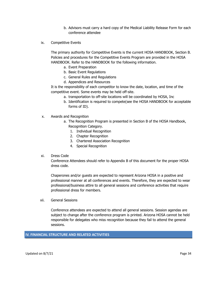- b. Advisors must carry a hard copy of the Medical Liability Release Form for each conference attendee
- ix. Competitive Events

The primary authority for Competitive Events is the current HOSA HANDBOOK, Section B. Policies and procedures for the Competitive Events Program are provided in the HOSA HANDBOOK. Refer to the HANDBOOK for the following information.

- a. Event Preparation
- b. Basic Event Regulations
- c. General Rules and Regulations
- d. Appendices and Resources

It is the responsibility of each competitor to know the date, location, and time of the competitive event. Some events may be held off-site.

- a. transportation to off-site locations will be coordinated by HOSA, Inc
- b. Identification is required to compete(see the HOSA HANDBOOK for acceptable forms of ID).
- x. Awards and Recognition
	- a. The Recognition Program is presented in Section B of the HOSA Handbook, Recognition Category.
		- 1. Individual Recognition
		- 2. Chapter Recognition
		- 3. Chartered Association Recognition
		- 4. Special Recognition

# xi. Dress Code

Conference Attendees should refer to Appendix B of this document for the proper HOSA dress code.

Chaperones and/or guests are expected to represent Arizona HOSA in a positive and professional manner at all conferences and events. Therefore, they are expected to wear professional/business attire to all general sessions and conference activities that require professional dress for members.

xii. General Sessions

Conference attendees are expected to attend all general sessions. Session agendas are subject to change after the conference program is printed. Arizona HOSA cannot be held responsible for delegates who miss recognition because they fail to attend the general sessions.

# <span id="page-34-0"></span>**IV. FINANCIAL STRUCTURE AND RELATED ACTIVITIES**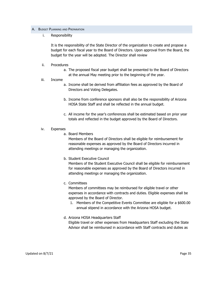#### <span id="page-35-0"></span>A. BUDGET PLANNING AND PREPARATION

i. Responsibility

It is the responsibility of the State Director of the organization to create and propose a budget for each fiscal year to the Board of Directors. Upon approval from the Board, the budget for the year will be adopted. The Director shall review

- ii. Procedures
	- a. The proposed fiscal year budget shall be presented to the Board of Directors at the annual May meeting prior to the beginning of the year.
- iii. Income
	- a. Income shall be derived from affiliation fees as approved by the Board of Directors and Voting Delegates.
	- b. Income from conference sponsors shall also be the responsibility of Arizona HOSA State Staff and shall be reflected in the annual budget.
	- c. All income for the year's conferences shall be estimated based on prior year totals and reflected in the budget approved by the Board of Directors.
- iv. Expenses
	- a. Board Members

Members of the Board of Directors shall be eligible for reimbursement for reasonable expenses as approved by the Board of Directors incurred in attending meetings or managing the organization.

b. Student Executive Council

Members of the Student Executive Council shall be eligible for reimbursement for reasonable expenses as approved by the Board of Directors incurred in attending meetings or managing the organization.

c. Committees

Members of committees may be reimbursed for eligible travel or other expenses in accordance with contracts and duties. Eligible expenses shall be approved by the Board of Director.

- 1. Members of the Competitive Events Committee are eligible for a \$600.00 annual stipend in accordance with the Arizona HOSA budget.
- d. Arizona HOSA Headquarters Staff Eligible travel or other expenses from Headquarters Staff excluding the State Advisor shall be reimbursed in accordance with Staff contracts and duties as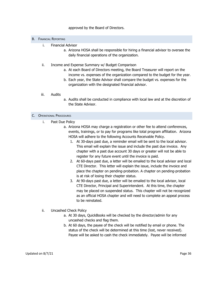## approved by the Board of Directors.

#### <span id="page-36-0"></span>B. FINANCIAL REPORTING

- i. Financial Advisor
	- a. Arizona HOSA shall be responsible for hiring a financial advisor to oversee the daily financial operations of the organization.
- ii. Income and Expense Summary w/ Budget Comparison
	- a. At each Board of Directors meeting, the Board Treasurer will report on the income vs. expenses of the organization compared to the budget for the year.
	- b. Each year, the State Advisor shall compare the budget vs. expenses for the organization with the designated financial advisor.
- iii. Audits
- a. Audits shall be conducted in compliance with local law and at the discretion of the State Advisor.

#### <span id="page-36-1"></span>C. OPERATIONAL PROCEDURES

- i. Past Due Policy
	- a. Arizona HOSA may charge a registration or other fee to attend conferences, events, trainings, or to pay for programs like total program affiliation. Arizona HOSA will adhere to the following Accounts Receivable Policy.
		- 1. At 30-days past due, a reminder email will be sent to the local advisor. This email will explain the issue and include the past due invoice. Any chapter with a past due account 30 days or greater will not be able to register for any future event until the invoice is paid.
		- 2. At 60-days past due, a letter will be emailed to the local advisor and local CTE Director. This letter will explain the issue, include the invoice and place the chapter on pending-probation. A chapter on pending-probation is at risk of losing their chapter status.
		- 3. At 90-days past due, a letter will be emailed to the local advisor, local CTE Director, Principal and Superintendent. At this time, the chapter may be placed on suspended status. This chapter will not be recognized as an official HOSA chapter and will need to complete an appeal process to be reinstated.
- ii. Uncashed Check Policy
	- a. At 30 days, QuickBooks will be checked by the director/admin for any uncashed checks and flag them.
	- b. At 60 days, the payee of the check will be notified by email or phone. The status of the check will be determined at this time (lost, never received). Payee will be asked to cash the check immediately. Payee will be informed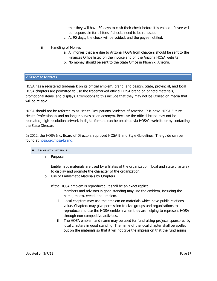that they will have 30 days to cash their check before it is voided. Payee will be responsible for all fees if checks need to be re-issued.

- c. At 90 days, the check will be voided, and the payee notified.
- iii. Handling of Monies
	- a. All monies that are due to Arizona HOSA from chapters should be sent to the Finances Office listed on the invoice and on the Arizona HOSA website.
	- b. No money should be sent to the State Office in Phoenix, Arizona.

#### <span id="page-37-0"></span>**V. SERVICE TO MEMBERS**

HOSA has a registered trademark on its official emblem, brand, and design. State, provincial, and local HOSA chapters are permitted to use the trademarked official HOSA brand on printed materials, promotional items, and displays. Exemptions to this include that they may not be utilized on media that will be re-sold.

HOSA should not be referred to as Health Occupations Students of America. It is now: HOSA-Future Health Professionals and no longer serves as an acronym. Because the official brand may not be recreated, high-resolution artwork in digital formats can be obtained via HOSA's website or by contacting the State Director.

In 2012, the HOSA Inc. Board of Directors approved HOSA Brand Style Guidelines. The guide can be found at [hosa.org/hosa-brand](https://hosa.org/hosa-brand/).

- <span id="page-37-1"></span>A. EMBLEMATIC MATERIALS
	- a. Purpose

Emblematic materials are used by affiliates of the organization (local and state charters) to display and promote the character of the organization.

b. Use of Emblematic Materials by Chapters

If the HOSA emblem is reproduced, it shall be an exact replica.

- i. Members and advisors in good standing may use the emblem, including the name, motto, creed, and emblem.
- ii. Local chapters may use the emblem on materials which have public relations value. Chapters may give permission to civic groups and organizations to reproduce and use the HOSA emblem when they are helping to represent HOSA through non-competitive activities.
- iii. The HOSA emblem and name may be used for fundraising projects sponsored by local chapters in good standing. The name of the local chapter shall be spelled out on the materials so that it will not give the impression that the fundraising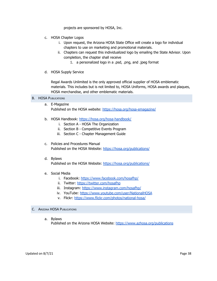projects are sponsored by HOSA, Inc.

- c. HOSA Chapter Logos
	- i. Upon request, the Arizona HOSA State Office will create a logo for individual chapters to use on marketing and promotional materials.
	- ii. Chapters can request this individualized logo by emailing the State Advisor. Upon completion, the chapter shall receive
		- 1. a personalized logo in a .psd, .png, and .jpeg format
- d. HOSA Supply Service

Regal Awards Unlimited is the only approved official supplier of HOSA emblematic materials. This includes but is not limited to, HOSA Uniforms, HOSA awards and plaques, HOSA merchandise, and other emblematic materials.

<span id="page-38-0"></span>**B. HOSA PUBLICATIONS** 

- a. E-Magazine Published on the HOSA website: <https://hosa.org/hosa-emagazine/>
- b. HOSA Handbook: <https://hosa.org/hosa-handbook/>
	- i. Section A HOSA The Organization
	- ii. Section B Competitive Events Program
	- iii. Section C Chapter Management Guide
- c. Policies and Procedures Manual Published on the HOSA Website: <https://hosa.org/publications/>
- d. Bylaws Published on the HOSA Website: <https://hosa.org/publications/>
- e. Social Media
	- i. Facebook: <https://www.facebook.com/hosafhp/>
	- ii. Twitter: <https://twitter.com/hosafhp>
	- iii. Instagram: <https://www.instagram.com/hosafhp/>
	- iv. YouTube: <https://www.youtube.com/user/NationalHOSA>
	- v. Flickr: <https://www.flickr.com/photos/national-hosa/>
- <span id="page-38-1"></span>C. ARIZONA HOSA PUBLICATIONS
	- a. Bylaws

Published on the Arizona HOSA Website: <https://www.azhosa.org/publications>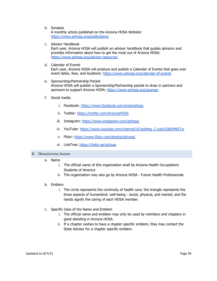b. Synapse

A monthly article published on the Arizona HOSA Website: <https://www.azhosa.org/publications>

c. Advisor Handbook

Each year, Arizona HOSA will publish an advisor handbook that guides advisors and provides information about how to get the most out of Arizona HOSA: <https://www.azhosa.org/advisor-resources>

d. Calendar of Events

Each year, Arizona HOSA will produce and publish a Calendar of Events that goes over event dates, fees, and locations: <https://www.azhosa.org/calendar-of-events>

- e. Sponsorship/Partnership Packet Arizona HOSA will publish a Sponsorship/Partnership packet to draw in partners and sponsors to support Arizona HOSA: <https://www.azhosa.org/sponsor>
- f. Social media
	- i. Facebook: <https://www.facebook.com/arizonahosa>
	- ii. Twitter: <https://twitter.com/ArizonaHOSA>
	- iii. Instagram: <https://www.instagram.com/azhosa/>
	- iv. YouTube: https://www.youtube.com/channel/UCwgWeg\_C-xubi1GBXjMRITw
	- v. Flickr: <https://www.flickr.com/photos/azhosa/>
	- vi. LinkTree: <https://linktr.ee/azhosa>

#### <span id="page-39-0"></span>D. ORGANIZATIONAL INSIGNIA

- a. Name
	- i. The official name of this organization shall be Arizona Health Occupations Students of America
	- ii. The organization may also go by Arizona HOSA Future Health Professionals
- b. Emblem
	- i. The circle represents the continuity of health care; the triangle represents the three aspects of humankind: well-being - social, physical, and mental; and the hands signify the caring of each HOSA member.
- c. Specific Uses of the Name and Emblem
	- i. The official name and emblem may only be used by members and chapters in good standing in Arizona HOSA.
	- ii. If a chapter wishes to have a chapter specific emblem, they may contact the State Advisor for a chapter specific emblem.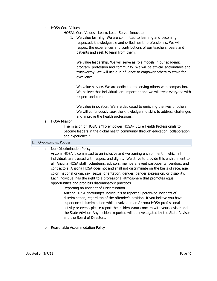- d. HOSA Core Values
	- i. HOSA's Core Values Learn. Lead. Serve. Innovate.
		- 1. We value learning. We are committed to learning and becoming respected, knowledgeable and skilled health professionals. We will respect the experiences and contributions of our teachers, peers and patients and seek to learn from them.

We value leadership. We will serve as role models in our academic program, profession and community. We will be ethical, accountable and trustworthy. We will use our influence to empower others to strive for excellence.

We value service. We are dedicated to serving others with compassion. We believe that individuals are important and we will treat everyone with respect and care.

We value innovation. We are dedicated to enriching the lives of others. We will continuously seek the knowledge and skills to address challenges and improve the health professions.

- e. HOSA Mission
	- i. The mission of HOSA is "To empower HOSA-Future Health Professionals to become leaders in the global health community through education, collaboration and experience."

## <span id="page-40-0"></span>E. ORGANIZATIONAL POLICIES

a. Non-Discrimination Policy

Arizona HOSA is committed to an inclusive and welcoming environment in which all individuals are treated with respect and dignity. We strive to provide this environment to all Arizona HOSA staff, volunteers, advisors, members, event participants, vendors, and contractors. Arizona HOSA does not and shall not discriminate on the basis of race, age, color, national origin, sex, sexual orientation, gender, gender expression, or disability. Each individual has the right to a professional atmosphere that promotes equal opportunities and prohibits discriminatory practices.

- i. Reporting an Incident of Discrimination Arizona HOSA encourages individuals to report all perceived incidents of discrimination, regardless of the offender's position. If you believe you have experienced discrimination while involved in an Arizona HOSA professional activity or event, please report the incident/your concern with your advisor and the State Advisor. Any incident reported will be investigated by the State Advisor and the Board of Directors.
- b. Reasonable Accommodation Policy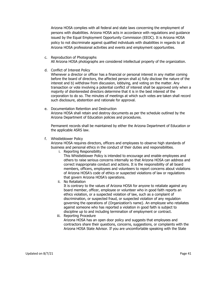Arizona HOSA complies with all federal and state laws concerning the employment of persons with disabilities. Arizona HOSA acts in accordance with regulations and guidance issued by the Equal Employment Opportunity Commission (EEOC). It is Arizona HOSA policy to not discriminate against qualified individuals with disabilities in regards to all Arizona HOSA professional activities and events and employment opportunities.

- c. Reproduction of Photographs All Arizona HOSA photographs are considered intellectual property of the organization.
- d. Conflict of Interest Policy

Whenever a director or officer has a financial or personal interest in any matter coming before the board of directors, the affected person shall a) fully disclose the nature of the interest and b) withdraw from discussion, lobbying, and voting on the matter. Any transaction or vote involving a potential conflict of interest shall be approved only when a majority of disinterested directors determine that it is in the best interest of the corporation to do so. The minutes of meetings at which such votes are taken shall record such disclosure, abstention and rationale for approval.

e. Documentation Retention and Destruction Arizona HOSA shall retain and destroy documents as per the schedule outlined by the Arizona Department of Education policies and procedures.

Permanent records shall be maintained by either the Arizona Department of Education or the applicable ASRS law.

f. Whistleblower Policy

Arizona HOSA requires directors, officers and employees to observe high standards of business and personal ethics in the conduct of their duties and responsibilities.

i. Reporting Responsibility

This Whistleblower Policy is intended to encourage and enable employees and others to raise serious concerns internally so that Arizona HOSA can address and correct inappropriate conduct and actions. It is the responsibility of all board members, officers, employees and volunteers to report concerns about violations of Arizona HOSA's code of ethics or suspected violations of law or regulations that govern Arizona HOSA's operations.

ii. No Retaliation

It is contrary to the values of Arizona HOSA for anyone to retaliate against any board member, officer, employee or volunteer who in good faith reports an ethics violation, or a suspected violation of law, such as a complaint of discrimination, or suspected fraud, or suspected violation of any regulation governing the operations of {Organization's name}. An employee who retaliates against someone who has reported a violation in good faith is subject to discipline up to and including termination of employment or contract.

iii. Reporting Procedure

Arizona HOSA has an open door policy and suggests that employees and contractors share their questions, concerns, suggestions, or complaints with the Arizona HOSA State Advisor. If you are uncomfortable speaking with the State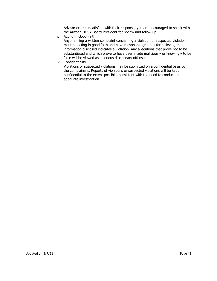Advisor or are unsatisfied with their response, you are encouraged to speak with the Arizona HOSA Board President for review and follow up.

iv. Acting in Good Faith

Anyone filing a written complaint concerning a violation or suspected violation must be acting in good faith and have reasonable grounds for believing the information disclosed indicates a violation. Any allegations that prove not to be substantiated and which prove to have been made maliciously or knowingly to be false will be viewed as a serious disciplinary offense.

v. Confidentiality

Violations or suspected violations may be submitted on a confidential basis by the complainant. Reports of violations or suspected violations will be kept confidential to the extent possible, consistent with the need to conduct an adequate investigation.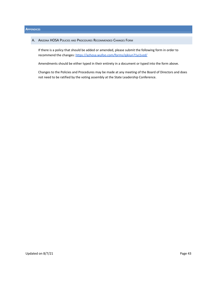#### <span id="page-43-1"></span><span id="page-43-0"></span>**APPENDICES**

A. ARIZONA HOSA POLICIES AND PROCEDURES RECOMMENDED CHANGES FORM

If there is a policy that should be added or amended, please submit the following form in order to recommend the changes: <https://azhosa.wufoo.com/forms/qjkiun71yj1vzd/>

Amendments should be either typed in their entirety in a document or typed into the form above.

Changes to the Policies and Procedures may be made at any meeting of the Board of Directors and does not need to be ratified by the voting assembly at the State Leadership Conference.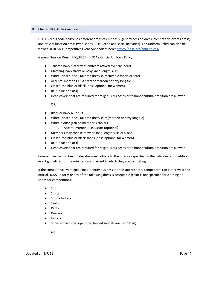#### <span id="page-44-0"></span>B. OFFICIAL HOSA UNIFORM POLICY

HOSA's dress code policy has different areas of emphasis: general session dress; competitive events dress; and official function dress (workshops, HOSA expo and social activities). The Uniform Policy can also be viewed in HOSA's Competitive Event Appendices here: <https://hosa.org/appendices/>

General Session Dress (REQUIRED): HOSA's Official Uniform Policy

- Tailored navy blazer with emblem affixed over the heart.
- Matching navy slacks or navy knee-length skirt
- White, closed-neck, tailored dress shirt suitable for tie or scarf
- Accents: maroon HOSA scarf or maroon or navy long tie
- Closed-toe blue or black (hose optional for women)
- Belt (blue or black)
- Head covers that are required for religious purposes or to honor cultural tradition are allowed.

OR,

- Black or navy-blue suit
- White, closed-neck, tailored dress shirt (maroon or navy long tie)
- White blouse (can be member's choice)
	- Accent: maroon HOSA scarf (optional)
- Members may choose to wear knee-length skirt or slacks
- Closed-toe blue or black shoes (hose optional for women)
- Belt (blue or black)
- Head covers that are required for religious purposes or to honor cultural tradition are allowed.

Competitive Events Dress: Delegates must adhere to the policy as specified in the individual competitive event guidelines for the orientation and event in which they are competing.

If the competitive event guidelines identify business attire is appropriate, competitors can either wear the official HOSA uniform or any of the following dress is acceptable (color is not specified for clothing or shoes for competition):

- Suit
- Shirts
- Sports Jackets
- **Skirts**
- Pants
- Dresses
- **Jackets**
- Shoes (closed-toe; open-toe; heeled sandals are permitted)

Or,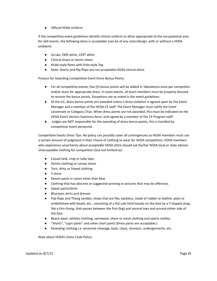● Official HOSA Uniform

If the competitive event guidelines identify clinical uniform or attire appropriate to the occupational area for skill events, the following dress is acceptable (can be of any color/design, with or without a HOSA emblem):

- Scrubs, EMS attire, CERT attire
- Clinical shoes or tennis shoes
- Khaki-style Pants with Polo-style Top
- Note: Shorts and flip-flops are not acceptable HOSA clinical attire.

Process for Awarding Competitive Event Dress Bonus Points:

- For all competitive events, five (5) bonus points will be added in Tabulations once per competitor and/or team for appropriate dress. In team events, all team members must be properly dressed to receive the bonus points. Exceptions are as noted in the event guidelines.
- At the ILC, dress bonus points are awarded unless a dress violation is agreed upon by the Event Manager and a member of the HOSA CE staff. The Event Manager must notify the Event Lieutenant or Category Chair. When dress points are not awarded, this must be indicated on the HOSA Event Section Summary form, and signed by a member of the CE Program staff.
- Judges are NOT responsible for the awarding of dress bonus points; this is handled by competitive event personnel.

Competitive Events Dress Tips: No policy can possibly cover all contingencies so HOSA members must use a certain amount of judgment in their choice of clothing to wear for HOSA competition. HOSA members who experience uncertainty about acceptable HOSA attire should ask his/her HOSA local or state advisor. Unacceptable clothing for competition (but not limited to):

- Casual tank, crop or tube tops
- Denim clothing or canvas shoes
- Torn, dirty, or frayed clothing
- T-shirts
- Denim pants in colors other than blue
- Clothing that has obscene or suggestive printing or pictures that may be offensive.
- Sweat pants/shirts
- Blue jean skirts and dresses
- Flip-flops and Thong sandals: shoes that are flat, backless, made of rubber or leather, plain or embellished with beads, etc., consisting of a flat sole held loosely on the foot by a Y-shaped strap, like a thin thong, that passes between the first (big) and second toes and around either side of the foot.
- Beach wear; athletic clothing, swimwear, sheer or mesh clothing and sports clothes
- "Shorts", "capri pants" and other short pants (Dress pants are acceptable.)
- Revealing clothing i.e. excessive cleavage, back, chest, stomach, undergarments, etc.

Note about HOSA's Dress Code Policy: